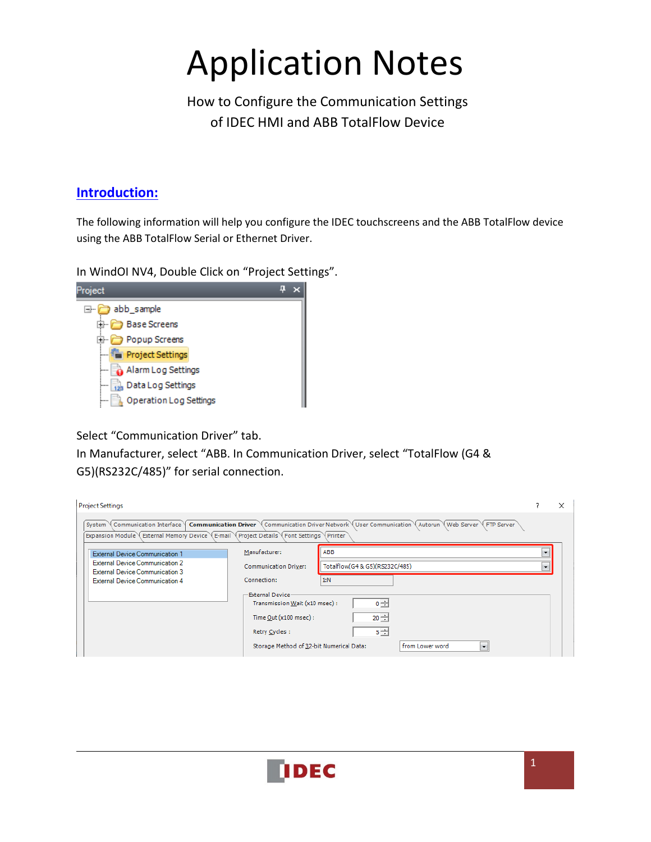# Application Notes

 How to Configure the Communication Settings of IDEC HMI and ABB TotalFlow Device

#### **Introduction:**

The following information will help you configure the IDEC touchscreens and the ABB TotalFlow device using the ABB TotalFlow Serial or Ethernet Driver.

In WindOI NV4, Double Click on "Project Settings".



Select "Communication Driver" tab.

In Manufacturer, select "ABB. In Communication Driver, select "TotalFlow (G4 & G5)(RS232C/485)" for serial connection.

| <b>Project Settings</b>                                                                                                                                                                                                                           |                                                   |                                |                            |         | × |
|---------------------------------------------------------------------------------------------------------------------------------------------------------------------------------------------------------------------------------------------------|---------------------------------------------------|--------------------------------|----------------------------|---------|---|
| System \ Communication Interface \ Communication Driver \ Communication Driver Network \ User Communication \ Autorun \ Web Server \ FTP Server<br>Expansion Module \ External Memory Device \ E-mail \ Project Details \ Font Settings \ Printer |                                                   |                                |                            |         |   |
| <b>External Device Communication 1</b>                                                                                                                                                                                                            | Manufacturer:                                     | ABB                            |                            | $\cdot$ |   |
| <b>External Device Communication 2</b><br><b>External Device Communication 3</b>                                                                                                                                                                  | <b>Communication Driver:</b>                      | Totalflow(G4 & G5)(RS232C/485) |                            | $\cdot$ |   |
| <b>External Device Communication 4</b>                                                                                                                                                                                                            | Connection:                                       | 1:N                            |                            |         |   |
|                                                                                                                                                                                                                                                   | External Device<br>Transmission Wait (x10 msec) : | $0 \div$                       |                            |         |   |
|                                                                                                                                                                                                                                                   | Time $Qut$ ( $x100$ msec) :                       | $20 -$                         |                            |         |   |
|                                                                                                                                                                                                                                                   | Retry Cycles:                                     | $5 -$                          |                            |         |   |
|                                                                                                                                                                                                                                                   | Storage Method of 32-bit Numerical Data:          |                                | from Lower word<br>$\cdot$ |         |   |

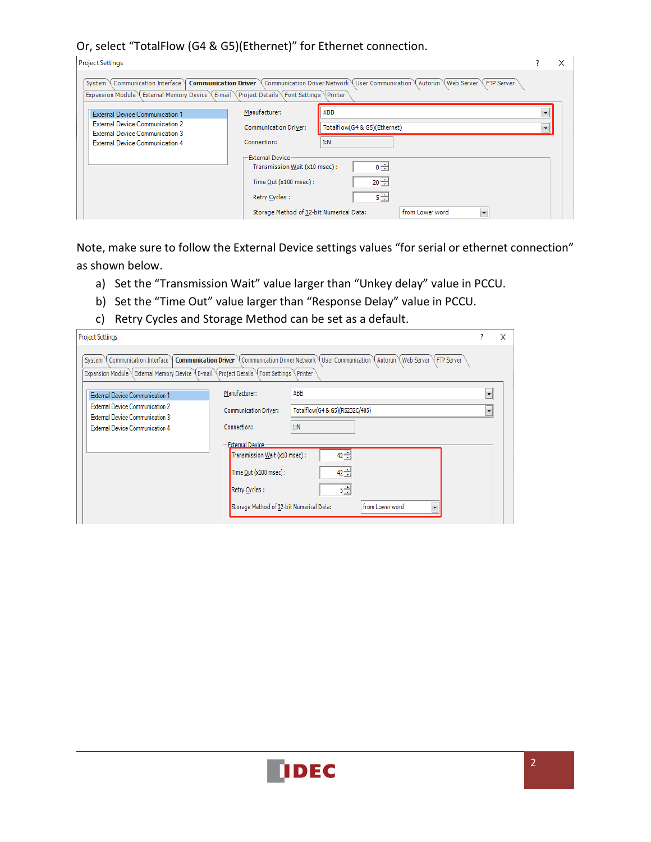#### Or, select "TotalFlow (G4 & G5)(Ethernet)" for Ethernet connection.

| <b>Project Settings</b>                                                                                                             |                                                          |                                                                                                                                                       |         |  |
|-------------------------------------------------------------------------------------------------------------------------------------|----------------------------------------------------------|-------------------------------------------------------------------------------------------------------------------------------------------------------|---------|--|
| Communication Interface<br>System<br>Expansion Module \ External Memory Device \ E-mail \ Project Details \ Font Settings \ Printer |                                                          | <b>Communication Driver</b> $\sqrt{C}$ Communication Driver Network User Communication $\sqrt{C}$ Autorun $\sqrt{C}$ Web Server $\sqrt{C}$ FTP Server |         |  |
| <b>External Device Communication 1</b>                                                                                              | Manufacturer:                                            | ABB                                                                                                                                                   |         |  |
| <b>External Device Communication 2</b><br><b>External Device Communication 3</b>                                                    | <b>Communication Driver:</b>                             | Totalflow(G4 & G5)(Ethernet)                                                                                                                          | $\cdot$ |  |
| <b>External Device Communication 4</b>                                                                                              | Connection:                                              | 1:N                                                                                                                                                   |         |  |
|                                                                                                                                     | <b>External Device</b><br>Transmission Wait (x10 msec) : | $0 -$                                                                                                                                                 |         |  |
|                                                                                                                                     | Time $Out(x100$ msec):                                   | $20 -$                                                                                                                                                |         |  |
|                                                                                                                                     | Retry Cycles:                                            | $5 -$                                                                                                                                                 |         |  |
|                                                                                                                                     | Storage Method of 32-bit Numerical Data:                 | from Lower word<br>$\cdot$                                                                                                                            |         |  |

Note, make sure to follow the External Device settings values "for serial or ethernet connection" as shown below.

- a) Set the "Transmission Wait" value larger than "Unkey delay" value in PCCU.
- b) Set the "Time Out" value larger than "Response Delay" value in PCCU.
- c) Retry Cycles and Storage Method can be set as a default.

| <b>Project Settings</b>                                                          |                                                                                                                                                 |                                                                                                              |                          |  |
|----------------------------------------------------------------------------------|-------------------------------------------------------------------------------------------------------------------------------------------------|--------------------------------------------------------------------------------------------------------------|--------------------------|--|
| Communication Interface<br>System                                                |                                                                                                                                                 | Communication Driver \ Communication Driver Network \ User Communication \ Autorun \ Web Server \ FTP Server |                          |  |
| <b>External Device Communication 1</b>                                           | Manufacturer:                                                                                                                                   | ABB                                                                                                          | $\blacktriangledown$     |  |
| <b>External Device Communication 2</b><br><b>External Device Communication 3</b> | <b>Communication Driver:</b>                                                                                                                    | Totalflow(G4 & G5)(RS232C/485)                                                                               | $\overline{\phantom{a}}$ |  |
| <b>External Device Communication 4</b>                                           | Connection:                                                                                                                                     | 1:N                                                                                                          |                          |  |
|                                                                                  | <b>External Device</b><br>Transmission Wait (x10 msec) :<br>Time Out (x100 msec) :<br>Retry Cycles:<br>Storage Method of 32-bit Numerical Data: | $42 - 1$<br>$42 -$<br>5년<br>from Lower word<br>۰                                                             |                          |  |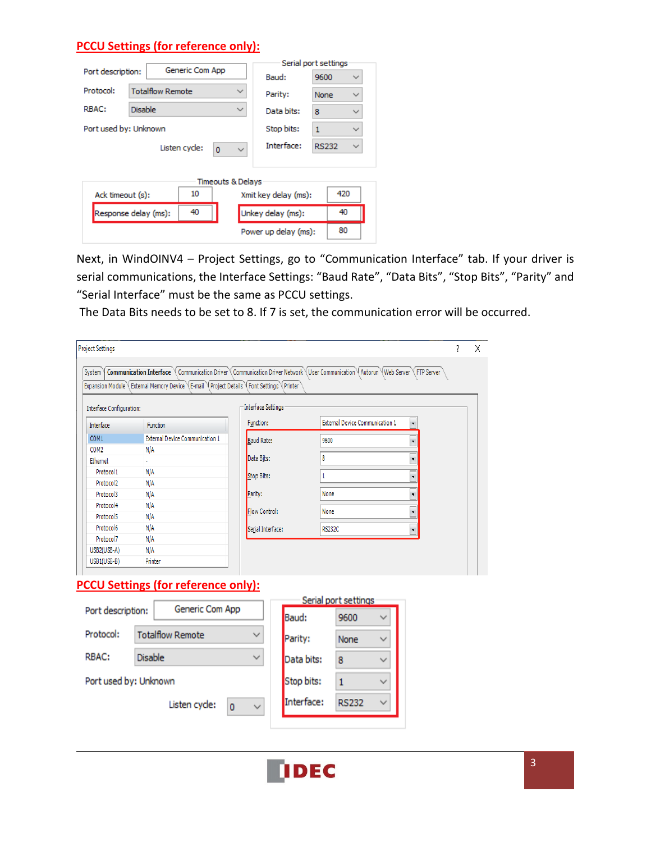#### **PCCU Settings (for reference only):**

|                       |                         |                 |                              |              | Serial port settings |              |              |  |
|-----------------------|-------------------------|-----------------|------------------------------|--------------|----------------------|--------------|--------------|--|
| Port description:     |                         | Generic Com App |                              |              | Baud:                | 9600         | $\checkmark$ |  |
| Protocol:             | <b>Totalflow Remote</b> |                 | $\checkmark$                 |              | Parity:              | None         | $\checkmark$ |  |
| RBAC:                 | <b>Disable</b>          |                 |                              | $\checkmark$ | Data bits:           | 8            | $\checkmark$ |  |
| Port used by: Unknown |                         |                 |                              |              | Stop bits:           | $\mathbf{1}$ | $\checkmark$ |  |
|                       |                         | Listen cycle:   | $\overline{0}$               | $\checkmark$ | Interface:           | <b>RS232</b> | $\checkmark$ |  |
|                       |                         |                 |                              |              |                      |              |              |  |
|                       |                         |                 | <b>Timeouts &amp; Delays</b> |              |                      |              |              |  |
| Ack timeout (s):      |                         | 10              |                              |              | Xmit key delay (ms): |              | 420          |  |
|                       | Response delay (ms):    | 40              |                              |              | Unkey delay (ms):    |              | 40           |  |
|                       |                         |                 |                              |              | Power up delay (ms): |              | 80           |  |

Next, in WindOINV4 - Project Settings, go to "Communication Interface" tab. If your driver is serial communications, the Interface Settings: "Baud Rate", "Data Bits", "Stop Bits", "Parity" and "Serial Interface" must be the same as PCCU settings.

The Data Bits needs to be set to 8. If 7 is set, the communication error will be occurred.

| Interface<br>COM1<br>COM <sub>2</sub><br>Ethernet | <b>Function</b><br><b>External Device Communication 1</b>                                | Function:            |                         |                                        |              |                          |  |
|---------------------------------------------------|------------------------------------------------------------------------------------------|----------------------|-------------------------|----------------------------------------|--------------|--------------------------|--|
|                                                   |                                                                                          |                      |                         | <b>External Device Communication 1</b> |              | ¥                        |  |
|                                                   |                                                                                          | <b>Baud Rate:</b>    |                         | 9600                                   |              | $\overline{\phantom{a}}$ |  |
|                                                   | N/A                                                                                      |                      |                         |                                        |              |                          |  |
|                                                   | ÷                                                                                        | Data Bits:           |                         | 8                                      |              | ٠                        |  |
| Protocol1                                         | N/A                                                                                      | Stop Bits:           |                         | 1                                      |              | $\overline{\phantom{a}}$ |  |
| Protocol <sub>2</sub>                             | N/A                                                                                      |                      |                         |                                        |              |                          |  |
| Protocol3                                         | N/A                                                                                      | Parity:              |                         | None                                   |              | ,                        |  |
| Protocol4                                         | N/A                                                                                      | <b>Flow Control:</b> |                         | None                                   |              | ¥                        |  |
| Protocol5                                         | N/A                                                                                      |                      |                         |                                        |              |                          |  |
| Protocol6                                         | N/A                                                                                      | Serial Interface:    |                         | <b>RS232C</b>                          |              | $\bar{\phantom{a}}$      |  |
| Protocol7                                         | N/A                                                                                      |                      |                         |                                        |              |                          |  |
| USB2(USB-A)                                       | N/A                                                                                      |                      |                         |                                        |              |                          |  |
| USB1(USB-B)                                       | Printer                                                                                  |                      |                         |                                        |              |                          |  |
| Port description:<br>Protocol:                    | <b>PCCU Settings (for reference only):</b><br>Generic Com App<br><b>Totalflow Remote</b> | ◡                    | <b>Baud:</b><br>Parity: | Serial port settings<br>9600<br>None   | $\checkmark$ |                          |  |
| RBAC:                                             | <b>Disable</b>                                                                           | $\checkmark$         | Data bits:              | 8                                      | $\checkmark$ |                          |  |
| Port used by: Unknown                             |                                                                                          |                      | Stop bits:              | $\mathbf{1}$                           | v            |                          |  |

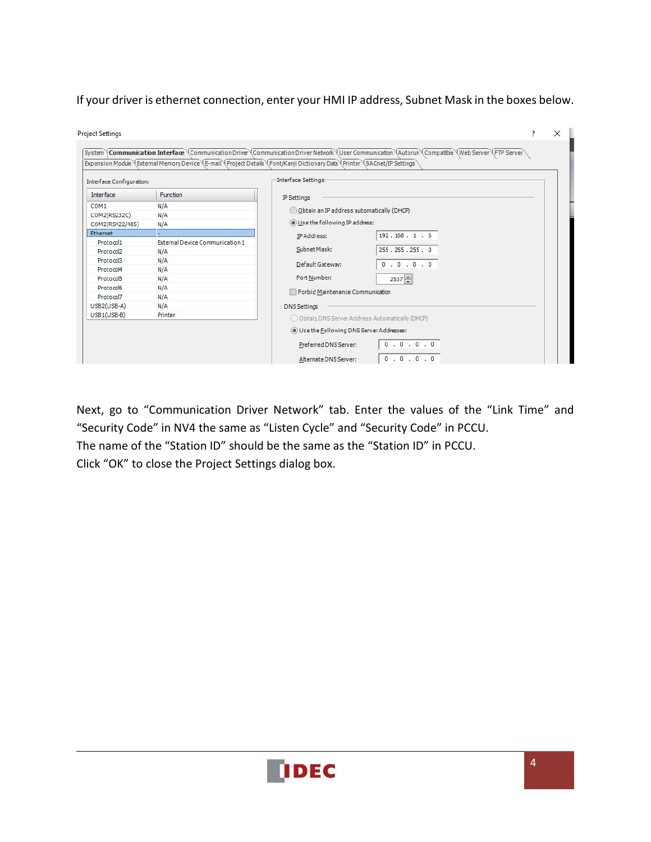If your driver is ethernet connection, enter your HMI IP address, Subnet Mask in the boxes below.

| Interface Configuration: |                                        | Interface Settings                               |
|--------------------------|----------------------------------------|--------------------------------------------------|
| <b>Interface</b>         | <b>Function</b>                        | <b>IP Settings</b>                               |
| COM <sub>1</sub>         | N/A                                    |                                                  |
| COM2(RS232C)             | N/A                                    | © Obtain an IP address automatically (DHCP)      |
| COM2(RS422/485)          | N/A                                    | (a) Use the following IP address:                |
| Ethernet                 |                                        | 192.168.1.6<br>IP Address:                       |
| Protocol1                | <b>External Device Communication 1</b> |                                                  |
| Protocol <sub>2</sub>    | N/A                                    | Subnet Mask:<br>255.255.255.0                    |
| Protocol3                | N/A                                    | Default Gateway:<br>0.0.0.0                      |
| Protocol4                | N/A                                    |                                                  |
| Protocol <sub>5</sub>    | N/A                                    | Port Number:<br>$2537 -$                         |
| Protocol6                | N/A                                    | Forbid Maintenance Communication                 |
| Protocol7                | N/A                                    |                                                  |
| USB2(USB-A)              | N/A                                    | <b>DNS Settings</b>                              |
| $USB1(USB-B)$            | Printer                                | O Obtain DNS Server Address Automatically (DHCP) |
|                          |                                        | (a) Use the Following DNS Server Addresses:      |
|                          |                                        | 0.0.0.0.0<br>Preferred DNS Server:               |
|                          |                                        | 0.0.0.0<br>Alternate DNS Server:                 |

Next, go to "Communication Driver Network" tab. Enter the values of the "Link Time" and "Security Code" in NV4 the same as "Listen Cycle" and "Security Code" in PCCU.

The name of the "Station ID" should be the same as the "Station ID" in PCCU.

Click "OK" to close the Project Settings dialog box.

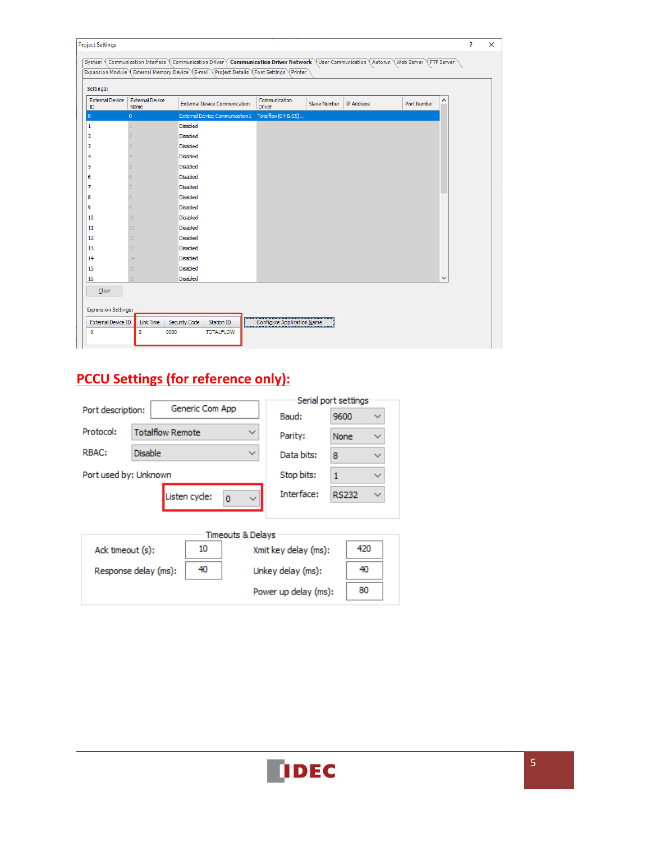| Settings:             |                                |                                        |                                |              |                   |                    |              |  |
|-----------------------|--------------------------------|----------------------------------------|--------------------------------|--------------|-------------------|--------------------|--------------|--|
| External Device<br>ID | <b>External Device</b><br>Name | <b>External Device Communication</b>   | Communication<br><b>Driver</b> | Slave Number | <b>IP Address</b> | <b>Port Number</b> | ۸            |  |
| $\overline{0}$        | $\mathbf{0}$                   | <b>External Device Communication 1</b> | Totalflow(G4 & G5)             |              |                   |                    |              |  |
| 1                     |                                | Disabled                               |                                |              |                   |                    |              |  |
| $\overline{2}$        |                                | <b>Disabled</b>                        |                                |              |                   |                    |              |  |
| 3                     |                                | <b>Disabled</b>                        |                                |              |                   |                    |              |  |
| 4                     |                                | <b>Disabled</b>                        |                                |              |                   |                    |              |  |
| 5                     |                                | <b>Disabled</b>                        |                                |              |                   |                    |              |  |
| 6                     |                                | <b>Disabled</b>                        |                                |              |                   |                    |              |  |
| $\overline{7}$        |                                | <b>Disabled</b>                        |                                |              |                   |                    |              |  |
| 8                     |                                | <b>Disabled</b>                        |                                |              |                   |                    |              |  |
| 19                    |                                | <b>Disabled</b>                        |                                |              |                   |                    |              |  |
| 10                    | 10 <sup>1</sup>                | Disabled                               |                                |              |                   |                    |              |  |
| 11                    | 11                             | <b>Disabled</b>                        |                                |              |                   |                    |              |  |
| 12                    | 12 <sup>2</sup>                | <b>Disabled</b>                        |                                |              |                   |                    |              |  |
| 13                    | 13                             | <b>Disabled</b>                        |                                |              |                   |                    |              |  |
| 14                    | 14                             | <b>Disabled</b>                        |                                |              |                   |                    |              |  |
| 15                    | 15                             | <b>Disabled</b>                        |                                |              |                   |                    |              |  |
|                       | 16                             | <b>Disabled</b>                        |                                |              |                   |                    | $\checkmark$ |  |

# **PCCU Settings (for reference only):**

|                       |                         |                 |                   |                      | Serial port settings |              |
|-----------------------|-------------------------|-----------------|-------------------|----------------------|----------------------|--------------|
| Port description:     |                         | Generic Com App |                   | Baud:                | 9600                 |              |
| Protocol:             | <b>Totalflow Remote</b> |                 |                   | Parity:              | None                 |              |
| RBAC:                 | <b>Disable</b>          |                 |                   | Data bits:           | 8                    | $\checkmark$ |
| Port used by: Unknown |                         |                 |                   | Stop bits:           | $\mathbf{1}$         |              |
|                       |                         | Listen cycle:   | $\Omega$          | Interface:           | <b>RS232</b>         | $\checkmark$ |
|                       |                         |                 | Timeouts & Delays |                      |                      |              |
| Ack timeout (s):      |                         | 10              |                   | Xmit key delay (ms): |                      | 420          |
|                       | Response delay (ms):    | 40              |                   | Unkey delay (ms):    |                      | 40           |
|                       |                         |                 |                   | Power up delay (ms): |                      | 80           |
|                       |                         |                 |                   |                      |                      |              |

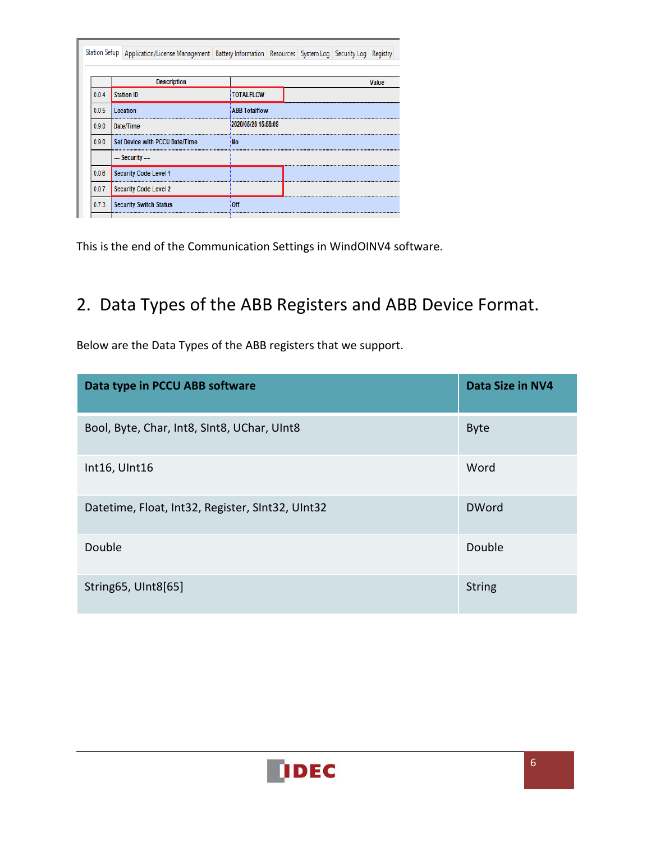|       | Station Setup Application/License Management   Battery Information   Resources   System Log   Security Log   Registry |                      |  |       |
|-------|-----------------------------------------------------------------------------------------------------------------------|----------------------|--|-------|
|       |                                                                                                                       |                      |  |       |
|       | <b>Description</b>                                                                                                    |                      |  | Value |
| 0.0.4 | <b>Station ID</b>                                                                                                     | <b>TOTALFLOW</b>     |  |       |
| 0.0.5 | Location                                                                                                              | <b>ABB Totalflow</b> |  |       |
| 0.9.0 | Date/Time                                                                                                             | 2020/05/28 15:58:09  |  |       |
| 0.9.0 | Set Device with PCCU Date/Time                                                                                        | : No                 |  |       |
|       | --- Security ---                                                                                                      |                      |  |       |
| 0.0.6 | Security Code Level 1                                                                                                 |                      |  |       |
| 0.0.7 | <b>Security Code Level 2</b>                                                                                          |                      |  |       |
| 0.7.3 | <b>Security Switch Status</b>                                                                                         | Off                  |  |       |

This is the end of the Communication Settings in WindOINV4 software.

# 2. Data Types of the ABB Registers and ABB Device Format.

Below are the Data Types of the ABB registers that we support.

| Data type in PCCU ABB software                   | Data Size in NV4 |
|--------------------------------------------------|------------------|
| Bool, Byte, Char, Int8, SInt8, UChar, UInt8      | <b>Byte</b>      |
| Int16, UInt16                                    | Word             |
| Datetime, Float, Int32, Register, SInt32, UInt32 | <b>DWord</b>     |
| Double                                           | Double           |
| String 65, UInt8 [65]                            | <b>String</b>    |

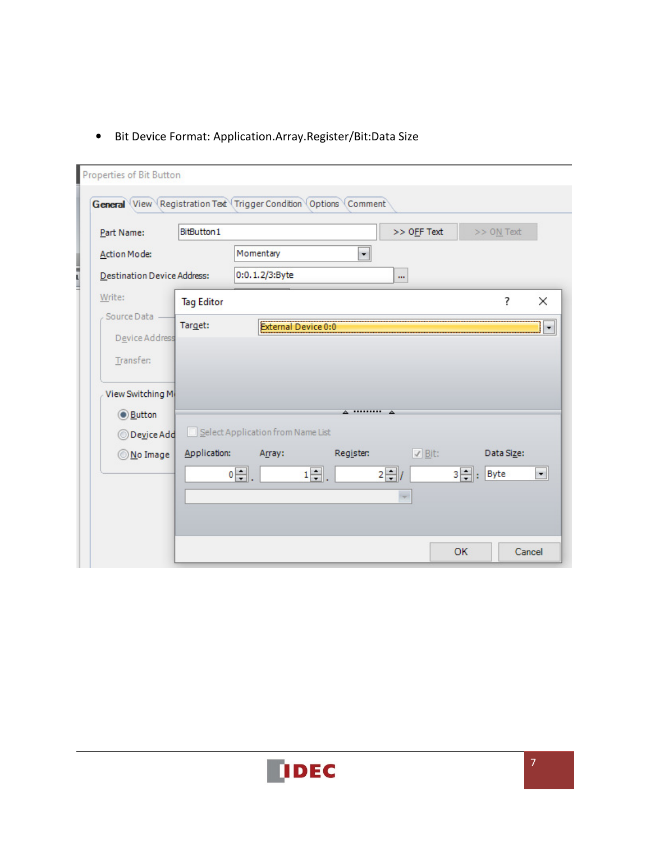## • Bit Device Format: Application.Array.Register/Bit:Data Size

| Part Name:                  | BitButton1        |                                   |                            | >> OFF Text    |           | >> ON Text |                      |
|-----------------------------|-------------------|-----------------------------------|----------------------------|----------------|-----------|------------|----------------------|
| <b>Action Mode:</b>         |                   | Momentary                         | $\cdot$                    |                |           |            |                      |
| Destination Device Address: |                   | 0:0.1.2/3:Byte                    |                            | $\mathbf{m}$   |           |            |                      |
| Write:                      | <b>Tag Editor</b> |                                   |                            |                |           | ?          | $\times$             |
| Source Data                 | Target:           |                                   | <b>External Device 0:0</b> |                |           |            | $\blacktriangledown$ |
| Device Address              |                   |                                   |                            |                |           |            |                      |
| Transfer:                   |                   |                                   |                            |                |           |            |                      |
| View Switching M            |                   |                                   |                            |                |           |            |                      |
| <b>Button</b>               |                   |                                   | A *********                | ▵              |           |            |                      |
| Device Add                  |                   | Select Application from Name List |                            |                |           |            |                      |
| No Image                    | Application:      | Array:                            | Register:                  | $\sqrt{B}$ it: |           | Data Size: |                      |
|                             |                   | 아이.                               | $1 -$ .                    | $2 - l$        | $3\div$ : | Byte       | $\blacktriangledown$ |
|                             |                   |                                   |                            |                |           |            |                      |

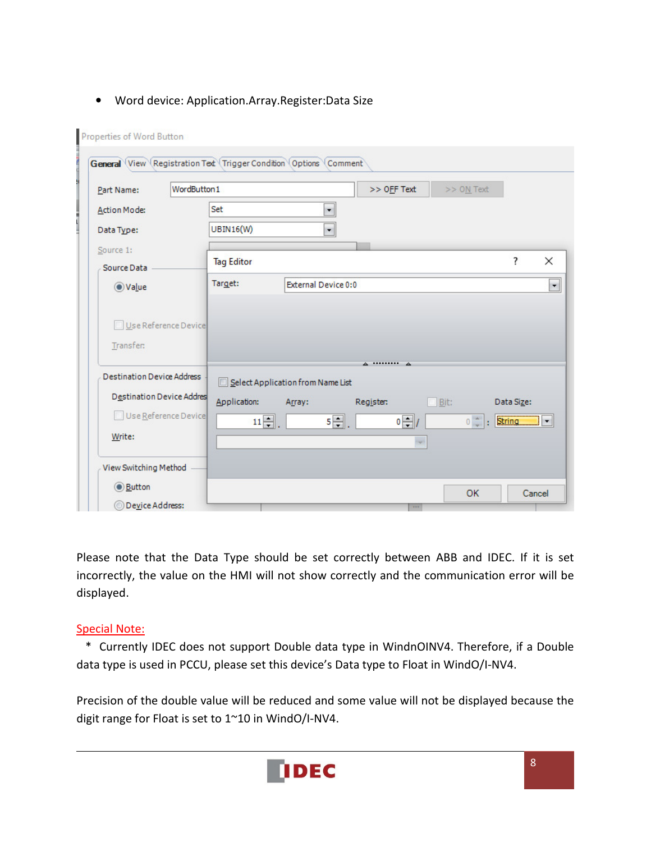#### • Word device: Application.Array.Register:Data Size

| Part Name:                        | WordButton1          |                   |                                   | >> OFF Text |             | >> ON Text |                                                             |                      |
|-----------------------------------|----------------------|-------------------|-----------------------------------|-------------|-------------|------------|-------------------------------------------------------------|----------------------|
| Action Mode:                      |                      | Set               | $\blacksquare$                    |             |             |            |                                                             |                      |
| Data Type:                        |                      | <b>UBIN16(W)</b>  | $\overline{\phantom{0}}$          |             |             |            |                                                             |                      |
| Source 1:                         |                      |                   |                                   |             |             |            | ?                                                           | ×                    |
| Source Data                       |                      | <b>Tag Editor</b> |                                   |             |             |            |                                                             |                      |
| ◎ Value                           |                      | Target:           | External Device 0:0               |             |             |            |                                                             | $\blacktriangledown$ |
| Transfer:                         | Use Reference Device |                   |                                   |             |             |            |                                                             |                      |
|                                   |                      |                   |                                   | A  A        |             |            |                                                             |                      |
| <b>Destination Device Address</b> |                      |                   | Select Application from Name List |             |             |            |                                                             |                      |
| Destination Device Addres         |                      |                   |                                   |             |             |            |                                                             |                      |
| Use Reference Device              |                      | Application:      | Array:                            | Register:   | $\Box$ Bit: |            | Data Size:                                                  |                      |
|                                   |                      | $11 -$ .          | 5구.                               | $0 - 1$     |             |            | $\circ$ $\div$ $\cdot$ String $\blacksquare$ $\blacksquare$ |                      |
| Write:<br>View Switching Method   |                      |                   |                                   |             |             |            |                                                             |                      |
| <b>Button</b>                     |                      |                   |                                   |             |             | OK         |                                                             | Cancel               |

Please note that the Data Type should be set correctly between ABB and IDEC. If it is set incorrectly, the value on the HMI will not show correctly and the communication error will be displayed.

#### Special Note:

 \* Currently IDEC does not support Double data type in WindnOINV4. Therefore, if a Double data type is used in PCCU, please set this device's Data type to Float in WindO/I-NV4.

Precision of the double value will be reduced and some value will not be displayed because the digit range for Float is set to 1~10 in WindO/I-NV4.

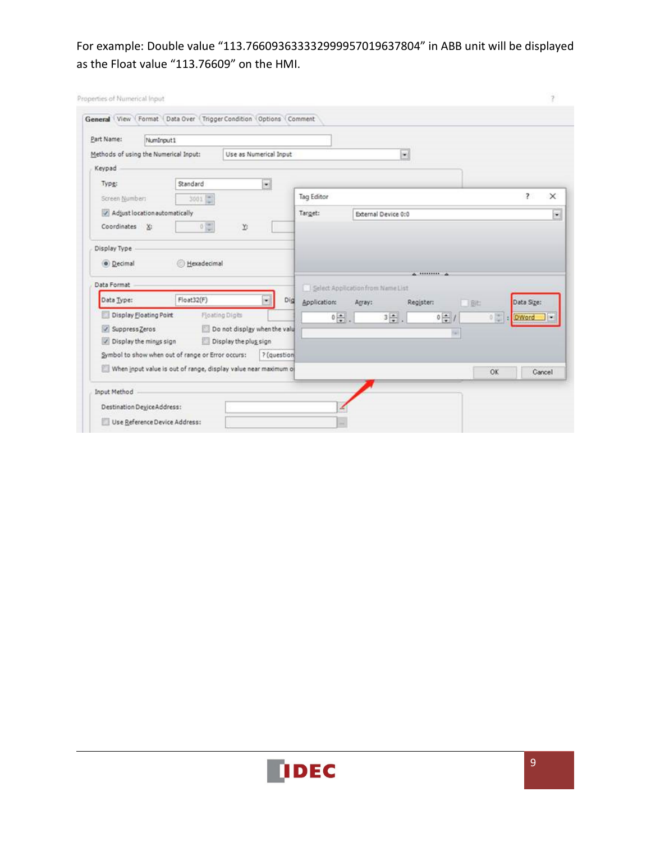## For example: Double value "113.766093633332999957019637804" in ABB unit will be displayed as the Float value "113.76609" on the HMI.

| Part Name:<br>NumInout1                                         |             |                              |             |                                   |                     |                                |                               |    |                             |          |
|-----------------------------------------------------------------|-------------|------------------------------|-------------|-----------------------------------|---------------------|--------------------------------|-------------------------------|----|-----------------------------|----------|
| Methods of using the Numerical Input:                           |             | Use as Numerical Input       |             |                                   |                     | $\left\vert \psi\right\rangle$ |                               |    |                             |          |
| Keypad                                                          |             |                              |             |                                   |                     |                                |                               |    |                             |          |
| Type:                                                           | Standard    |                              | $\bullet$   |                                   |                     |                                |                               |    |                             |          |
| Screen Number:                                                  | $3001 -$    |                              |             | <b>Tag Editor</b>                 |                     |                                |                               |    | ?                           | $\times$ |
| Adjust location automatically                                   |             |                              |             | Target:                           | External Device 0:0 |                                |                               |    |                             |          |
| Coordinates X:                                                  |             |                              |             |                                   |                     |                                |                               |    |                             |          |
|                                                                 | $0 \leq$    | r                            |             |                                   |                     |                                |                               |    |                             |          |
|                                                                 |             |                              |             |                                   |                     |                                |                               |    |                             |          |
|                                                                 |             |                              |             |                                   |                     |                                |                               |    |                             |          |
| Display Type<br>· Decimal                                       | Hexadecimal |                              |             |                                   |                     | A 1000000 A                    |                               |    |                             |          |
|                                                                 |             |                              |             | Select Application from Name List |                     |                                |                               |    |                             |          |
| Data Type:                                                      | Float32(F)  |                              | ᆌ<br>Did    | <b>Application:</b>               | Array:              | Register:                      |                               | 8社 | Data Size:                  |          |
| Display Eloating Point                                          |             | Floating Digits              |             |                                   |                     |                                |                               |    | DWord                       |          |
| / Suppress Zeros                                                |             | Do not display when the valu |             | $0 \frac{1}{2}$ .                 | $3\frac{1}{2}$ .    |                                | $0\left \frac{\pi}{2}\right $ |    | $0\left \frac{m}{m}\right $ |          |
| Data Format<br>Display the minus sign                           |             | Display the plus sign        |             |                                   |                     |                                | 54                            |    |                             |          |
| Symbol to show when out of range or Error occurs:               |             |                              | ? (question |                                   |                     |                                |                               |    |                             |          |
| When input value is out of range, display value near maximum of |             |                              |             |                                   |                     |                                |                               | OK |                             | Cancel   |

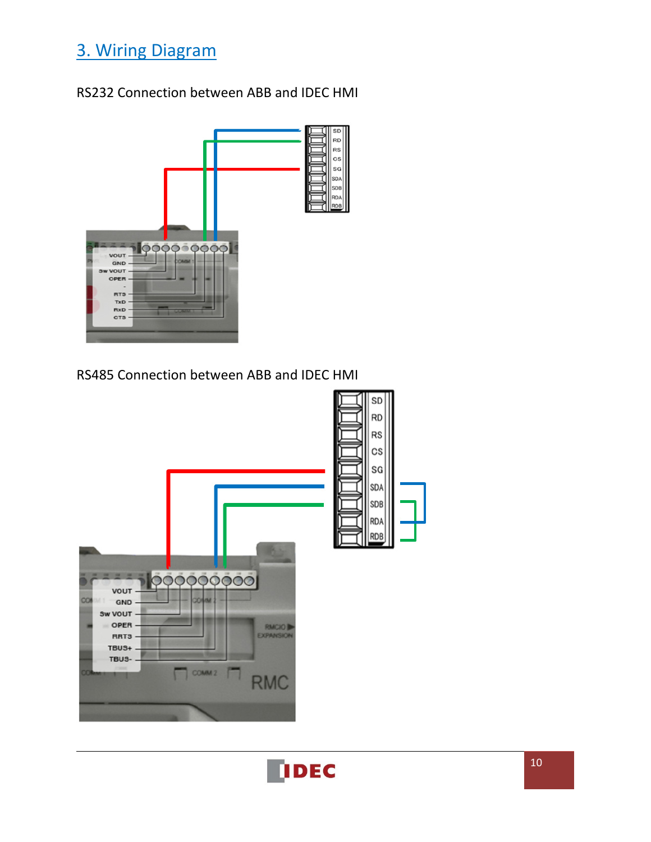# 3. Wiring Diagram

## RS232 Connection between ABB and IDEC HMI



RS485 Connection between ABB and IDEC HMI



**IDEC**